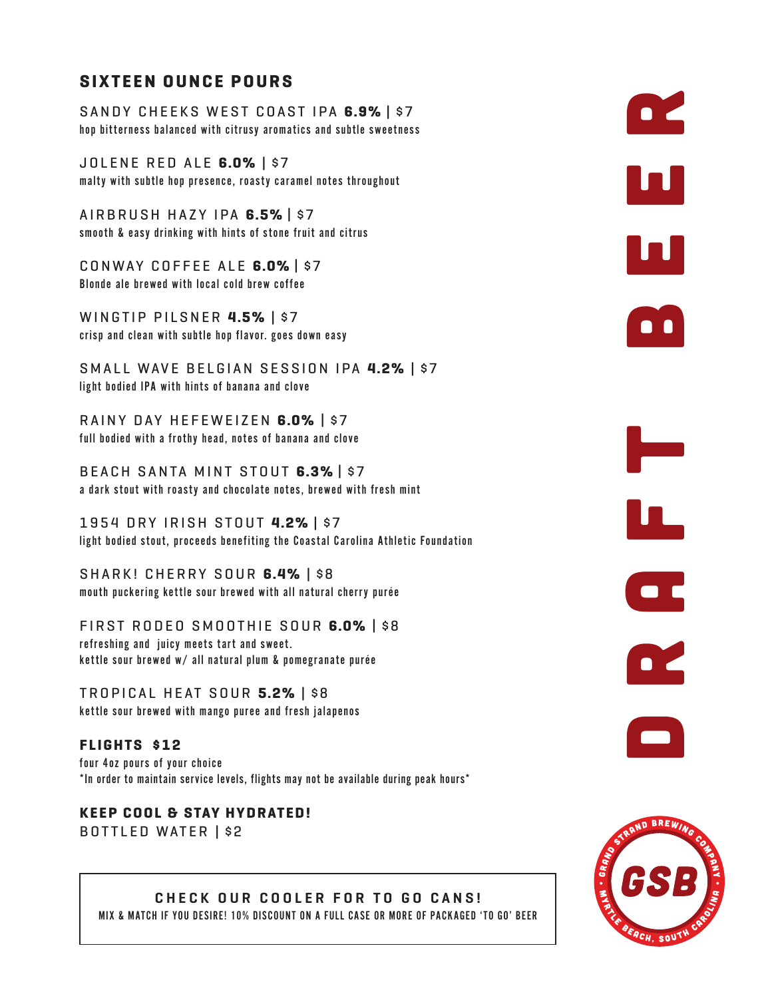## **SIXTEEN OUNCE POURS**

SANDY CHEEKS WEST COAST IPA **6.9%** | \$7 hop bitterness balanced with citrusy aromatics and subtle sweetness

JOLENE RED ALE **6.0%** | \$7 malty with subtle hop presence, roasty caramel notes throughout

AIRBRUSH HAZY IPA **6.5%** | \$7 smooth & easy drinking with hints of stone fruit and citrus

CONWAY COFFEE ALE **6.0%** | \$7 Blonde ale brewed with local cold brew coffee

WINGTIP PILSNER **4.5%** | \$7 crisp and clean with subtle hop flavor. goes down easy

SMALL WAVE BELGIAN SESSION IPA **4.2%** | \$7 light bodied IPA with hints of banana and clove

RAINY DAY HEFEWEIZEN **6.0%** | \$7 full bodied with a frothy head, notes of banana and clove

BEACH SANTA MINT STOUT **6.3%** | \$7 a dark stout with roasty and chocolate notes, brewed with fresh mint

1954 DRY IRISH STOUT **4.2%** | \$7 light bodied stout, proceeds benefiting the Coastal Carolina Athletic Foundation

SHARK! CHERRY SOUR **6.4%** | \$8 mouth puckering kettle sour brewed with all natural cherry purée

FIRST RODEO SMOOTHIE SOUR **6.0%** | \$8 refreshing and juicy meets tart and sweet. kettle sour brewed w/ all natural plum & pomegranate purée

TROPICAL HEAT SOUR **5.2%** | \$8 kettle sour brewed with mango puree and fresh jalapenos

**FLIGHTS \$12** four 4oz pours of your choice \*In order to maintain service levels, flights may not be available during peak hours\*

**KEEP COOL & STAY HYDRATED!** BOTTLED WATER | \$2



draft beergered beergered by the control of the control of the control of the control of the control of the control of the control of the control of the control of the control of the control of the control of the control o

Li<br>Li

 $\overline{\phantom{a}}$ 

OZ,

 $\bullet$ 

 $\mathbf{h}$ 

UU.

 $\bullet$   $\bullet$ 

CHECK OUR COOLER FOR TO GO CANS! MIX & MATCH IF YOU DESIRE! 10% DISCOUNT ON A FULL CASE OR MORE OF PACKAGED 'TO GO' BEER